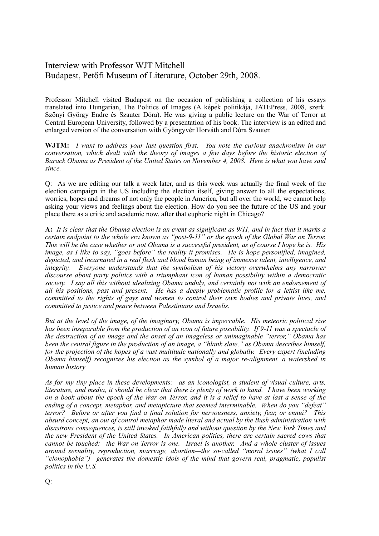# Interview with Professor WJT Mitchell Budapest, Petőfi Museum of Literature, October 29th, 2008.

Professor Mitchell visited Budapest on the occasion of publishing a collection of his essays translated into Hungarian, The Politics of Images (A képek politikája, JATEPress, 2008, szerk. Szőnyi György Endre és Szauter Dóra). He was giving a public lecture on the War of Terror at Central European University, followed by a presentation of his book. The interview is an edited and enlarged version of the conversation with Gyöngyvér Horváth and Dóra Szauter.

**WJTM:** *I want to address your last question first. You note the curious anachronism in our conversation, which dealt with the theory of images a few days before the historic election of Barack Obama as President of the United States on November 4, 2008. Here is what you have said since.*

Q: As we are editing our talk a week later, and as this week was actually the final week of the election campaign in the US including the election itself, giving answer to all the expectations, worries, hopes and dreams of not only the people in America, but all over the world, we cannot help asking your views and feelings about the election. How do you see the future of the US and your place there as a critic and academic now, after that euphoric night in Chicago?

**A:** *It is clear that the Obama election is an event as significant as 9/11, and in fact that it marks a certain endpoint to the whole era known as "post-9-11" or the epoch of the Global War on Terror. This will be the case whether or not Obama is a successful president, as of course I hope he is. His image, as I like to say, "goes before" the reality it promises. He is hope personified, imagined, depicted, and incarnated in a real flesh and blood human being of immense talent, intelligence, and integrity. Everyone understands that the symbolism of his victory overwhelms any narrower discourse about party politics with a triumphant icon of human possibility within a democratic society. I say all this without idealizing Obama unduly, and certainly not with an endorsement of all his positions, past and present. He has a deeply problematic profile for a leftist like me, committed to the rights of gays and women to control their own bodies and private lives, and committed to justice and peace between Palestinians and Israelis.* 

*But at the level of the image, of the imaginary, Obama is impeccable. His meteoric political rise has been inseparable from the production of an icon of future possibility. If 9-11 was a spectacle of the destruction of an image and the onset of an imageless or unimaginable "terror," Obama has been the central figure in the production of an image, a "blank slate," as Obama describes himself, for the projection of the hopes of a vast multitude nationally and globally. Every expert (including Obama himself) recognizes his election as the symbol of a major re-alignment, a watershed in human history* 

*As for my tiny place in these developments: as an iconologist, a student of visual culture, arts, literature, and media, it should be clear that there is plenty of work to hand. I have been working on a book about the epoch of the War on Terror, and it is a relief to have at last a sense of the ending of a concept, metaphor, and metapicture that seemed interminable. When do you "defeat" terror? Before or after you find a final solution for nervousness, anxiety, fear, or ennui? This absurd concept, an out of control metaphor made literal and actual by the Bush administration with disastrous consequences, is still invoked faithfully and without question by the New York Times and the new President of the United States. In American politics, there are certain sacred cows that cannot be touched: the War on Terror is one. Israel is another. And a whole cluster of issues around sexuality, reproduction, marriage, abortion—the so-called "moral issues" (what I call "clonophobia")—generates the domestic idols of the mind that govern real, pragmatic, populist politics in the U.S.*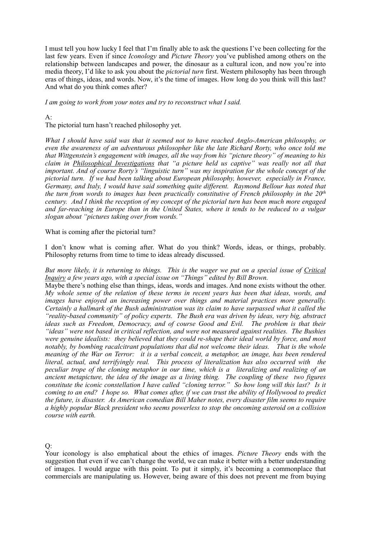I must tell you how lucky I feel that I'm finally able to ask the questions I've been collecting for the last few years. Even if since *Iconology* and *Picture Theory* you've published among others on the relationship between landscapes and power, the dinosaur as a cultural icon, and now you're into media theory, I'd like to ask you about the *pictorial turn* first. Western philosophy has been through eras of things, ideas, and words. Now, it's the time of images. How long do you think will this last? And what do you think comes after?

*I am going to work from your notes and try to reconstruct what I said.*

### $A$ :

The pictorial turn hasn't reached philosophy yet.

*What I should have said was that it seemed not to have reached Anglo-American philosophy, or even the awareness of an adventurous philosopher like the late Richard Rorty, who once told me that Wittgenstein's engagement with images, all the way from his "picture theory" of meaning to his claim in Philosophical Investigations that "a picture held us captive" was really not all that important. And of course Rorty's "linguistic turn" was my inspiration for the whole concept of the pictorial turn. If we had been talking about European philosophy, however, especially in France, Germany, and Italy, I would have said something quite different. Raymond Bellour has noted that the turn from words to images has been practically constitutive of French philosophy in the 20th century. And I think the reception of my concept of the pictorial turn has been much more engaged and far-reaching in Europe than in the United States, where it tends to be reduced to a vulgar slogan about "pictures taking over from words."* 

What is coming after the pictorial turn?

I don't know what is coming after. What do you think? Words, ideas, or things, probably. Philosophy returns from time to time to ideas already discussed.

*But more likely, it is returning to things. This is the wager we put on a special issue of Critical Inquiry a few years ago, with a special issue on "Things" edited by Bill Brown.* 

Maybe there's nothing else than things, ideas, words and images. And none exists without the other. *My whole sense of the relation of these terms in recent years has been that ideas, words, and images have enjoyed an increasing power over things and material practices more generally. Certainly a hallmark of the Bush administration was its claim to have surpassed what it called the "reality-based community" of policy experts. The Bush era was driven by ideas, very big, abstract ideas such as Freedom, Democracy, and of course Good and Evil. The problem is that their "ideas" were not based in critical reflection, and were not measured against realities. The Bushies were genuine idealists: they believed that they could re-shape their ideal world by force, and most notably, by bombing racalcitrant populations that did not welcome their ideas. That is the whole meaning of the War on Terror: it is a verbal conceit, a metaphor, an image, has been rendered literal, actual, and terrifyingly real. This process of literalization has also occurred with the peculiar trope of the cloning metaphor in our time, which is a literalizing and realizing of an ancient metapicture, the idea of the image as a living thing. The coupling of these two figures constitute the iconic constellation I have called "cloning terror." So how long will this last? Is it coming to an end? I hope so. What comes after, if we can trust the ability of Hollywood to predict the future, is disaster. As American comedian Bill Maher notes, every disaster film seems to require a highly popular Black president who seems powerless to stop the oncoming asteroid on a collision course with earth.* 

 $O:$ 

Your iconology is also emphatical about the ethics of images. *Picture Theory* ends with the suggestion that even if we can't change the world, we can make it better with a better understanding of images. I would argue with this point. To put it simply, it's becoming a commonplace that commercials are manipulating us. However, being aware of this does not prevent me from buying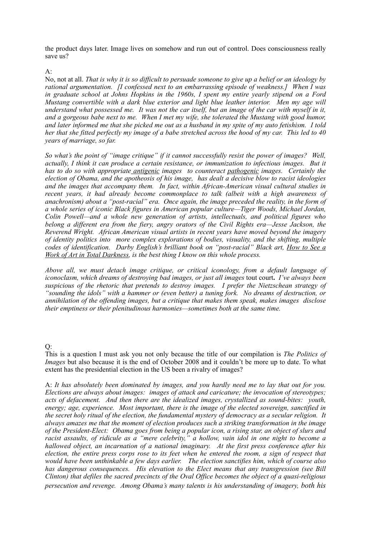the product days later. Image lives on somehow and run out of control. Does consciousness really save us?

#### A:

No, not at all. *That is why it is so difficult to persuade someone to give up a belief or an ideology by rational argumentation. [I confessed next to an embarrassing episode of weakness.] When I was in graduate school at Johns Hopkins in the 1960s, I spent my entire yearly stipend on a Ford Mustang convertible with a dark blue exterior and light blue leather interior. Men my age will understand what possessed me. It was not the car itself, but an image of the car with myself in it, and a gorgeous babe next to me. When I met my wife, she tolerated the Mustang with good humor, and later informed me that she picked me out as a husband in my spite of my auto fetishism. I told her that she fitted perfectly my image of a babe stretched across the hood of my car. This led to 40 years of marriage, so far.*

*So what's the point of "image critique" if it cannot successfully resist the power of images? Well, actually, I think it can produce a certain resistance, or immunization to infectious images. But it has to do so with appropriate antigenic images to counteract pathogenic images. Certainly the election of Obama, and the apotheosis of his image, has dealt a decisive blow to racist ideologies and the images that accompany them. In fact, within African-American visual cultural studies in recent years, it had already become commonplace to talk (albeit with a high awareness of anachronism) about a "post-racial" era. Once again, the image preceded the reality, in the form of a whole series of iconic Black figures in American popular culture—Tiger Woods, Michael Jordan, Colin Powell—and a whole new generation of artists, intellectuals, and political figures who belong a different era from the fiery, angry orators of the Civil Rights era—Jesse Jackson, the Reverend Wright. African American visual artists in recent years have moved beyond the imagery of identity politics into more complex explorations of bodies, visuality, and the shifting, multiple codes of identification. Darby English's brilliant book on "post-racial" Black art, How to See a Work of Art in Total Darkness, is the best thing I know on this whole process.* 

*Above all, we must detach image critique, or critical iconology, from a default language of iconoclasm, which dreams of destroying bad images, or just all images* tout court**.** *I've always been suspicious of the rhetoric that pretends to destroy images. I prefer the Nietzschean strategy of "sounding the idols" with a hammer or (even better) a tuning fork. No dreams of destruction, or annihilation of the offending images, but a critique that makes them speak, makes images disclose their emptiness or their plenitudinous harmonies—sometimes both at the same time.* 

#### $O:$

This is a question I must ask you not only because the title of our compilation is *The Politics of Images* but also because it is the end of October 2008 and it couldn't be more up to date. To what extent has the presidential election in the US been a rivalry of images?

A: *It has absolutely been dominated by images, and you hardly need me to lay that out for you. Elections are always about images: images of attack and caricature; the invocation of stereotypes; acts of defacement. And then there are the idealized images, crystallized as sound-bites: youth, energy; age, experience. Most important, there is the image of the elected sovereign, sanctified in the secret holy ritual of the election, the fundamental mystery of democracy as a secular religion. It always amazes me that the moment of election produces such a striking transformation in the image of the President-Elect: Obama goes from being a popular icon, a rising star, an object of slurs and racist assaults, of ridicule as a "mere celebrity," a hollow, vain idol in one night to become a hallowed object, an incarnation of a national imaginary. At the first press conference after his election, the entire press corps rose to its feet when he entered the room, a sign of respect that would have been unthinkable a few days earlier. The election sanctifies him, which of course also has dangerous consequences. His elevation to the Elect means that any transgression (see Bill Clinton) that defiles the sacred precincts of the Oval Office becomes the object of a quasi-religious persecution and revenge. Among Obama's many talents is his understanding of imagery, both his*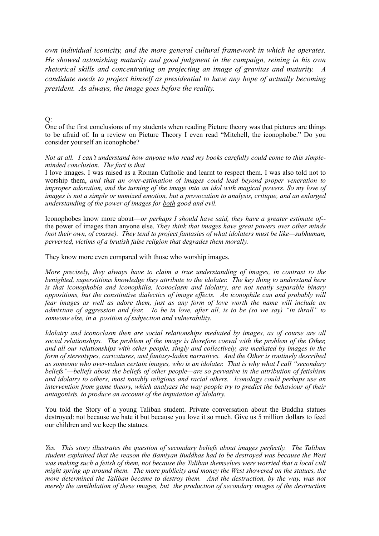*own individual iconicity, and the more general cultural framework in which he operates. He showed astonishing maturity and good judgment in the campaign, reining in his own rhetorical skills and concentrating on projecting an image of gravitas and maturity. A candidate needs to project himself as presidential to have any hope of actually becoming president. As always, the image goes before the reality.* 

 $Q$ :

One of the first conclusions of my students when reading Picture theory was that pictures are things to be afraid of. In a review on Picture Theory I even read "Mitchell, the iconophobe." Do you consider yourself an iconophobe?

*Not at all. I can't understand how anyone who read my books carefully could come to this simpleminded conclusion. The fact is that*

I love images. I was raised as a Roman Catholic and learnt to respect them. I was also told not to worship them, *and that an over-estimation of images could lead beyond proper veneration to improper adoration, and the turning of the image into an idol with magical powers. So my love of images is not a simple or unmixed emotion, but a provocation to analysis, critique, and an enlarged understanding of the power of images for both good and evil.* 

Iconophobes know more about—*or perhaps I should have said, they have a greater estimate of-* the power of images than anyone else. *They think that images have great powers over other minds (not their own, of course). They tend to project fantasies of what idolaters must be like—subhuman, perverted, victims of a brutish false religion that degrades them morally.* 

They know more even compared with those who worship images.

*More precisely, they always have to claim a true understanding of images, in contrast to the benighted, superstitious knowledge they attribute to the idolater. The key thing to understand here is that iconophobia and iconophilia, iconoclasm and idolatry, are not neatly separable binary oppositions, but the constitutive dialectics of image effects. An iconophile can and probably will fear images as well as adore them, just as any form of love worth the name will include an admixture of aggression and fear. To be in love, after all, is to be (so we say) "in thrall" to someone else, in a position of subjection and vulnerability.* 

*Idolatry and iconoclasm then are social relationships mediated by images, as of course are all social relationships. The problem of the image is therefore coeval with the problem of the Other, and all our relationships with other people, singly and collectively, are mediated by images in the form of stereotypes, caricatures, and fantasy-laden narratives. And the Other is routinely described as someone who over-values certain images, who is an idolater. That is why what I call "secondary beliefs"—beliefs about the beliefs of other people—are so pervasive in the attribution of fetishism and idolatry to others, most notably religious and racial others. Iconology could perhaps use an intervention from game theory, which analyzes the way people try to predict the behaviour of their antagonists, to produce an account of the imputation of idolatry.*

You told the Story of a young Taliban student. Private conversation about the Buddha statues destroyed: not because we hate it but because you love it so much. Give us 5 million dollars to feed our children and we keep the statues.

*Yes. This story illustrates the question of secondary beliefs about images perfectly. The Taliban student explained that the reason the Bamiyan Buddhas had to be destroyed was because the West was making such a fetish of them, not because the Taliban themselves were worried that a local cult might spring up around them. The more publicity and money the West showered on the statues, the more determined the Taliban became to destroy them. And the destruction, by the way, was not merely the annihilation of these images, but the production of secondary images of the destruction*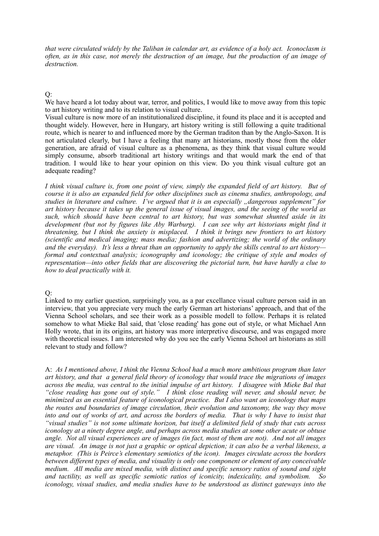*that were circulated widely by the Taliban in calendar art, as evidence of a holy act. Iconoclasm is often, as in this case, not merely the destruction of an image, but the production of an image of destruction.* 

#### Q:

We have heard a lot today about war, terror, and politics, I would like to move away from this topic to art history writing and to its relation to visual culture.

Visual culture is now more of an institutionalized discipline, it found its place and it is accepted and thought widely. However, here in Hungary, art history writing is still following a quite traditional route, which is nearer to and influenced more by the German traditon than by the Anglo-Saxon. It is not articulated clearly, but I have a feeling that many art historians, mostly those from the older generation, are afraid of visual culture as a phenomena, as they think that visual culture would simply consume, absorb traditional art history writings and that would mark the end of that tradition. I would like to hear your opinion on this view. Do you think visual culture got an adequate reading?

*I think visual culture is, from one point of view, simply the expanded field of art history. But of course it is also an expanded field for other disciplines such as cinema studies, anthropology, and studies in literature and culture. I've argued that it is an especially "dangerous supplement" for art history because it takes up the general issue of visual images, and the seeing of the world as such, which should have been central to art history, but was somewhat shunted aside in its development (but not by figures like Aby Warburg). I can see why art historians might find it threatening, but I think the anxiety is misplaced. I think it brings new frontiers to art history (scientific and medical imaging; mass media; fashion and advertizing; the world of the ordinary and the everyday). It's less a threat than an opportunity to apply the skills central to art history formal and contextual analysis; iconography and iconology; the critique of style and modes of representation—into other fields that are discovering the pictorial turn, but have hardly a clue to how to deal practically with it.* 

#### $O:$

Linked to my earlier question, surprisingly you, as a par excellance visual culture person said in an interview, that you appreciate very much the early German art historians' approach, and that of the Vienna School scholars, and see their work as a possible modell to follow. Perhaps it is related somehow to what Mieke Bal said, that 'close reading' has gone out of style, or what Michael Ann Holly wrote, that in its origins, art history was more interpretive discourse, and was engaged more with theoretical issues. I am interested why do you see the early Vienna School art historians as still relevant to study and follow?

A: *As I mentioned above, I think the Vienna School had a much more ambitious program than later art history, and that a general field theory of iconology that would trace the migrations of images across the media, was central to the initial impulse of art history. I disagree with Mieke Bal that "close reading has gone out of style." I think close reading will never, and should never, be minimized as an essential feature of iconological practice. But I also want an iconology that maps the routes and boundaries of image circulation, their evolution and taxonomy, the way they move*  into and out of works of art, and across the borders of media. That is why I have to insist that *"visual studies" is not some ultimate horizon, but itself a delimited field of study that cuts across iconology at a ninety degree angle, and perhaps across media studies at some other acute or obtuse angle. Not all visual experiences are of images (in fact, most of them are not). And not all images are visual. An image is not just a graphic or optical depiction; it can also be a verbal likeness, a metaphor. (This is Peirce's elementary semiotics of the icon). Images circulate across the borders between different types of media, and visuality is only one component or element of any conceivable medium. All media are mixed media, with distinct and specific sensory ratios of sound and sight and tactility, as well as specific semiotic ratios of iconicity, indexicality, and symbolism. So iconology, visual studies, and media studies have to be understood as distinct gateways into the*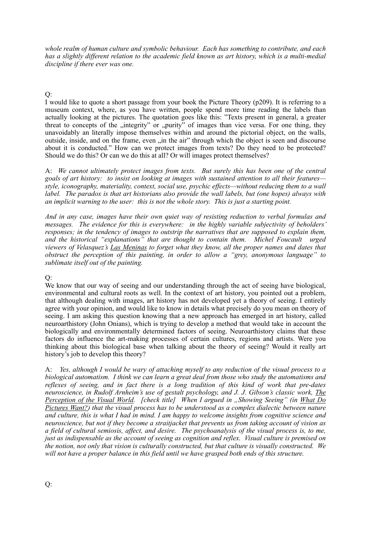*whole realm of human culture and symbolic behaviour. Each has something to contribute, and each has a slightly different relation to the academic field known as art history, which is a multi-medial discipline if there ever was one.*

Q:

I would like to quote a short passage from your book the Picture Theory (p209). It is referring to a museum context, where, as you have written, people spend more time reading the labels than actually looking at the pictures. The quotation goes like this: "Texts present in general, a greater threat to concepts of the "integrity" or "purity" of images than vice versa. For one thing, they unavoidably an literally impose themselves within and around the pictorial object, on the walls, outside, inside, and on the frame, even "in the air" through which the object is seen and discourse about it is conducted." How can we protect images from texts? Do they need to be protected? Should we do this? Or can we do this at all? Or will images protect themselves?

A: *We cannot ultimately protect images from texts. But surely this has been one of the central goals of art history: to insist on looking at images with sustained attention to all their features style, iconography, materiality, context, social use, psychic effects—without reducing them to a wall label. The paradox is that art historians also provide the wall labels, but (one hopes) always with an implicit warning to the user: this is not the whole story. This is just a starting point.* 

*And in any case, images have their own quiet way of resisting reduction to verbal formulas and messages. The evidence for this is everywhere: in the highly variable subjectivity of beholders' responses; in the tendency of images to outstrip the narratives that are supposed to explain them, and the historical "explanations" that are thought to contain them. Michel Foucault urged viewers of Velasquez's Las Meninas to forget what they know, all the proper names and dates that obstruct the perception of this painting, in order to allow a "grey, anonymous language" to sublimate itself out of the painting.*

## $O:$

We know that our way of seeing and our understanding through the act of seeing have biological, environmental and cultural roots as well. In the context of art history, you pointed out a problem, that although dealing with images, art history has not developed yet a theory of seeing. I entirely agree with your opinion, and would like to know in details what precisely do you mean on theory of seeing. I am asking this question knowing that a new approach has emerged in art history, called neuroarthistory (John Onians), which is trying to develop a method that would take in account the biologically and environmentally determined factors of seeing. Neuroarthistory claims that these factors do influence the art-making processes of certain cultures, regions and artists. Were you thinking about this biological base when talking about the theory of seeing? Would it really art history's job to develop this theory?

A: *Yes, although I would be wary of attaching myself to any reduction of the visual process to a biological automatism. I think we can learn a great deal from those who study the automatisms and reflexes of seeing, and in fact there is a long tradition of this kind of work that pre-dates neuroscience, in Rudolf Arnheim's use of gestalt psychology, and J. J. Gibson's classic work, The Perception of the Visual World.* [check title] When I argued in "Showing Seeing" (in What Do *Pictures Want?) that the visual process has to be understood as a complex dialectic between nature and culture, this is what I had in mind. I am happy to welcome insights from cognitive science and neuroscience, but not if they become a straitjacket that prevents us from taking account of vision as a field of cultural semiosis, affect, and desire. The psychoanalysis of the visual process is, to me, just as indispensable as the account of seeing as cognition and reflex. Visual culture is premised on the notion, not only that vision is culturally constructed, but that culture is visually constructed. We will not have a proper balance in this field until we have grasped both ends of this structure.*